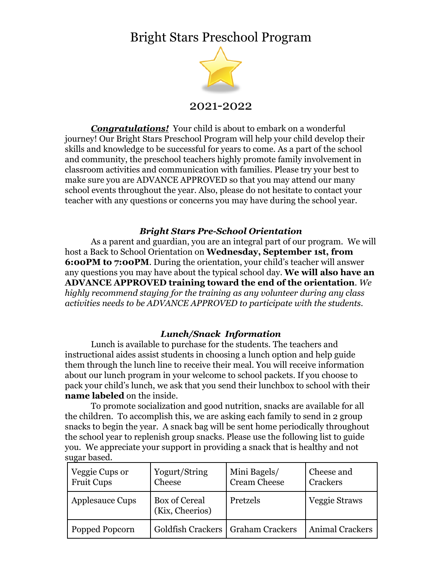## Bright Stars Preschool Program



2021-2022

*Congratulations!* Your child is about to embark on a wonderful journey! Our Bright Stars Preschool Program will help your child develop their skills and knowledge to be successful for years to come. As a part of the school and community, the preschool teachers highly promote family involvement in classroom activities and communication with families. Please try your best to make sure you are ADVANCE APPROVED so that you may attend our many school events throughout the year. Also, please do not hesitate to contact your teacher with any questions or concerns you may have during the school year.

#### *Bright Stars Pre-School Orientation*

As a parent and guardian, you are an integral part of our program. We will host a Back to School Orientation on **Wednesday, September 1st, from 6:00PM to 7:00PM.** During the orientation, your child's teacher will answer any questions you may have about the typical school day. **We will also have an ADVANCE APPROVED training toward the end of the orientation**. *We highly recommend staying for the training as any volunteer during any class activities needs to be ADVANCE APPROVED to participate with the students*.

#### *Lunch/Snack Information*

Lunch is available to purchase for the students. The teachers and instructional aides assist students in choosing a lunch option and help guide them through the lunch line to receive their meal. You will receive information about our lunch program in your welcome to school packets. If you choose to pack your child's lunch, we ask that you send their lunchbox to school with their **name labeled** on the inside.

To promote socialization and good nutrition, snacks are available for all the children. To accomplish this, we are asking each family to send in 2 group snacks to begin the year. A snack bag will be sent home periodically throughout the school year to replenish group snacks. Please use the following list to guide you. We appreciate your support in providing a snack that is healthy and not sugar based.

| Veggie Cups or<br><b>Fruit Cups</b> | Yogurt/String<br>Cheese             | Mini Bagels/<br><b>Cream Cheese</b> | Cheese and<br>Crackers |
|-------------------------------------|-------------------------------------|-------------------------------------|------------------------|
| <b>Applesauce Cups</b>              | Box of Cereal<br>(Kix, Cheerios)    | Pretzels                            | Veggie Straws          |
| Popped Popcorn                      | Goldfish Crackers   Graham Crackers |                                     | <b>Animal Crackers</b> |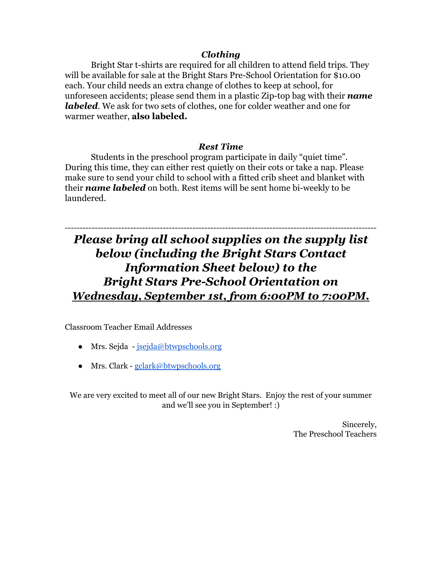#### *Clothing*

Bright Star t-shirts are required for all children to attend field trips. They will be available for sale at the Bright Stars Pre-School Orientation for \$10.00 each. Your child needs an extra change of clothes to keep at school, for unforeseen accidents; please send them in a plastic Zip-top bag with their *name labeled*. We ask for two sets of clothes, one for colder weather and one for warmer weather, **also labeled.**

#### *Rest Time*

Students in the preschool program participate in daily "quiet time". During this time, they can either rest quietly on their cots or take a nap. Please make sure to send your child to school with a fitted crib sheet and blanket with their *name labeled* on both. Rest items will be sent home bi-weekly to be laundered.

### --------------------------------------------------------------------------------------------------------- *Please bring all school supplies on the supply list below (including the Bright Stars Contact Information Sheet below) to the Bright Stars Pre-School Orientation on Wednesday, September 1st, from 6:00PM to 7:00PM.*

Classroom Teacher Email Addresses

- Mrs. Sejda [jsejda@btwpschools.org](mailto:jsejda@btwpschools.org)
- Mrs. Clark [gclark@btwpschools.org](mailto:gclark@btwpschools.org)

We are very excited to meet all of our new Bright Stars. Enjoy the rest of your summer and we'll see you in September! :)

> Sincerely, The Preschool Teachers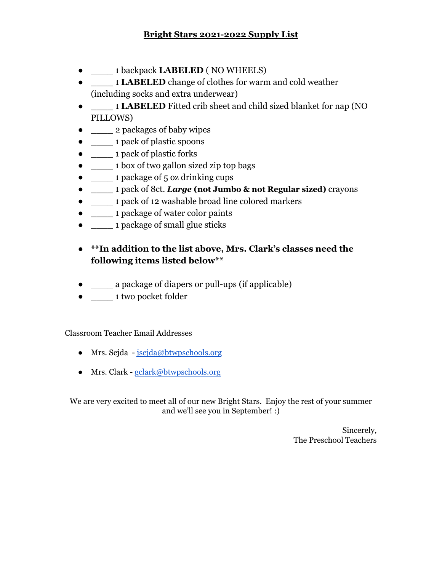#### **Bright Stars 2021-2022 Supply List**

- \_\_\_\_ 1 backpack **LABELED** ( NO WHEELS)
- \_\_\_\_ 1 **LABELED** change of clothes for warm and cold weather (including socks and extra underwear)
- \_\_\_\_ 1 **LABELED** Fitted crib sheet and child sized blanket for nap (NO PILLOWS)
- **2 packages of baby wipes**
- \_\_\_\_ 1 pack of plastic spoons
- \_\_\_\_ 1 pack of plastic forks
- \_\_\_\_\_\_\_ 1 box of two gallon sized zip top bags
- \_\_\_\_ 1 package of 5 oz drinking cups
- \_\_\_\_ 1 pack of 8ct. *Large* **(not Jumbo & not Regular sized)** crayons
- \_\_\_\_ 1 pack of 12 washable broad line colored markers
- \_\_\_\_ 1 package of water color paints
- **defining 1 package of small glue sticks**

#### ● **\*\*In addition to the list above, Mrs. Clark's classes need the following items listed below\*\***

- \_\_\_\_ a package of diapers or pull-ups (if applicable)
- \_\_\_\_ 1 two pocket folder

Classroom Teacher Email Addresses

- Mrs. Sejda [jsejda@btwpschools.org](mailto:jsejda@btwpschools.org)
- Mrs. Clark [gclark@btwpschools.org](mailto:gclark@btwpschools.org)

We are very excited to meet all of our new Bright Stars. Enjoy the rest of your summer and we'll see you in September! :)

> Sincerely, The Preschool Teachers